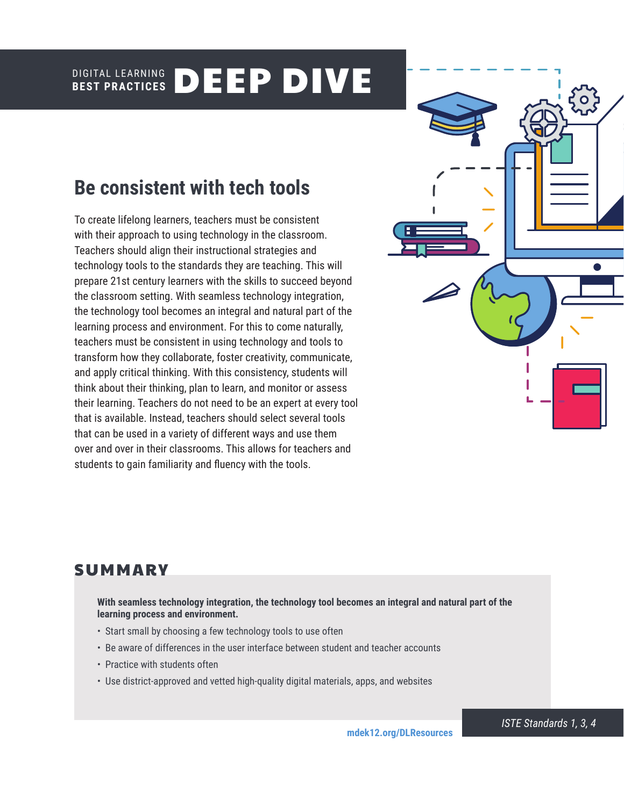#### DIGITAL LEARNING **BEST PRACTICES** DEEP DIVE

# **Be consistent with tech tools**

To create lifelong learners, teachers must be consistent with their approach to using technology in the classroom. Teachers should align their instructional strategies and technology tools to the standards they are teaching. This will prepare 21st century learners with the skills to succeed beyond the classroom setting. With seamless technology integration, the technology tool becomes an integral and natural part of the learning process and environment. For this to come naturally, teachers must be consistent in using technology and tools to transform how they collaborate, foster creativity, communicate, and apply critical thinking. With this consistency, students will think about their thinking, plan to learn, and monitor or assess their learning. Teachers do not need to be an expert at every tool that is available. Instead, teachers should select several tools that can be used in a variety of different ways and use them over and over in their classrooms. This allows for teachers and students to gain familiarity and fluency with the tools.



# **SUMMARY**

**With seamless technology integration, the technology tool becomes an integral and natural part of the learning process and environment.** 

- Start small by choosing a few technology tools to use often
- Be aware of differences in the user interface between student and teacher accounts
- Practice with students often
- Use district-approved and vetted high-quality digital materials, apps, and websites

*ISTE Standards 1, 3, 4*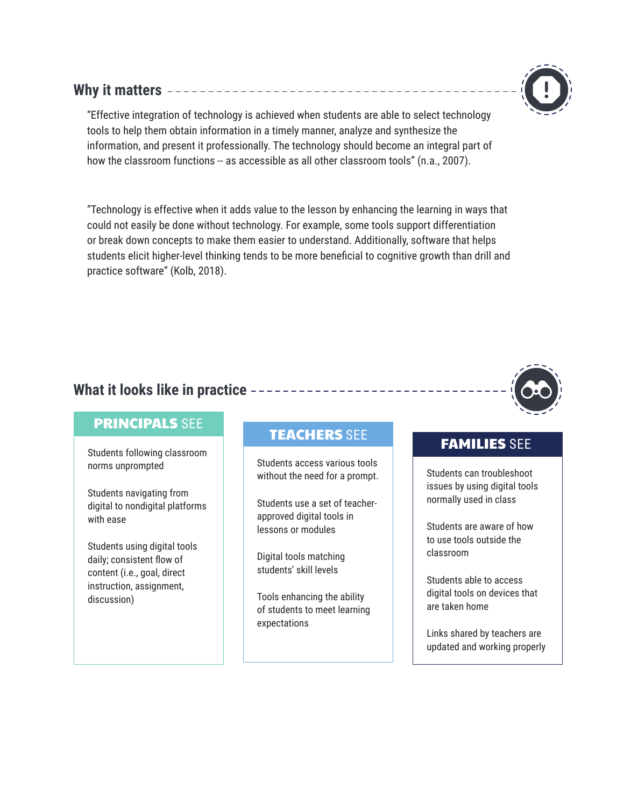## **Why it matters**

"Effective integration of technology is achieved when students are able to select technology tools to help them obtain information in a timely manner, analyze and synthesize the information, and present it professionally. The technology should become an integral part of how the classroom functions -- as accessible as all other classroom tools" (n.a., 2007).

"Technology is effective when it adds value to the lesson by enhancing the learning in ways that could not easily be done without technology. For example, some tools support differentiation or break down concepts to make them easier to understand. Additionally, software that helps students elicit higher-level thinking tends to be more beneficial to cognitive growth than drill and practice software" (Kolb, 2018).

## **What it looks like in practice**

## PRINCIPALS SEE

Students following classroom norms unprompted

Students navigating from digital to nondigital platforms with ease

Students using digital tools daily; consistent flow of content (i.e., goal, direct instruction, assignment, discussion)

# TEACHERS SEE TEAMILIES SEE

Students access various tools without the need for a prompt.

Students use a set of teacherapproved digital tools in lessons or modules

Digital tools matching students' skill levels

Tools enhancing the ability of students to meet learning expectations

Students can troubleshoot issues by using digital tools normally used in class

Students are aware of how to use tools outside the classroom

Students able to access digital tools on devices that are taken home

Links shared by teachers are updated and working properly